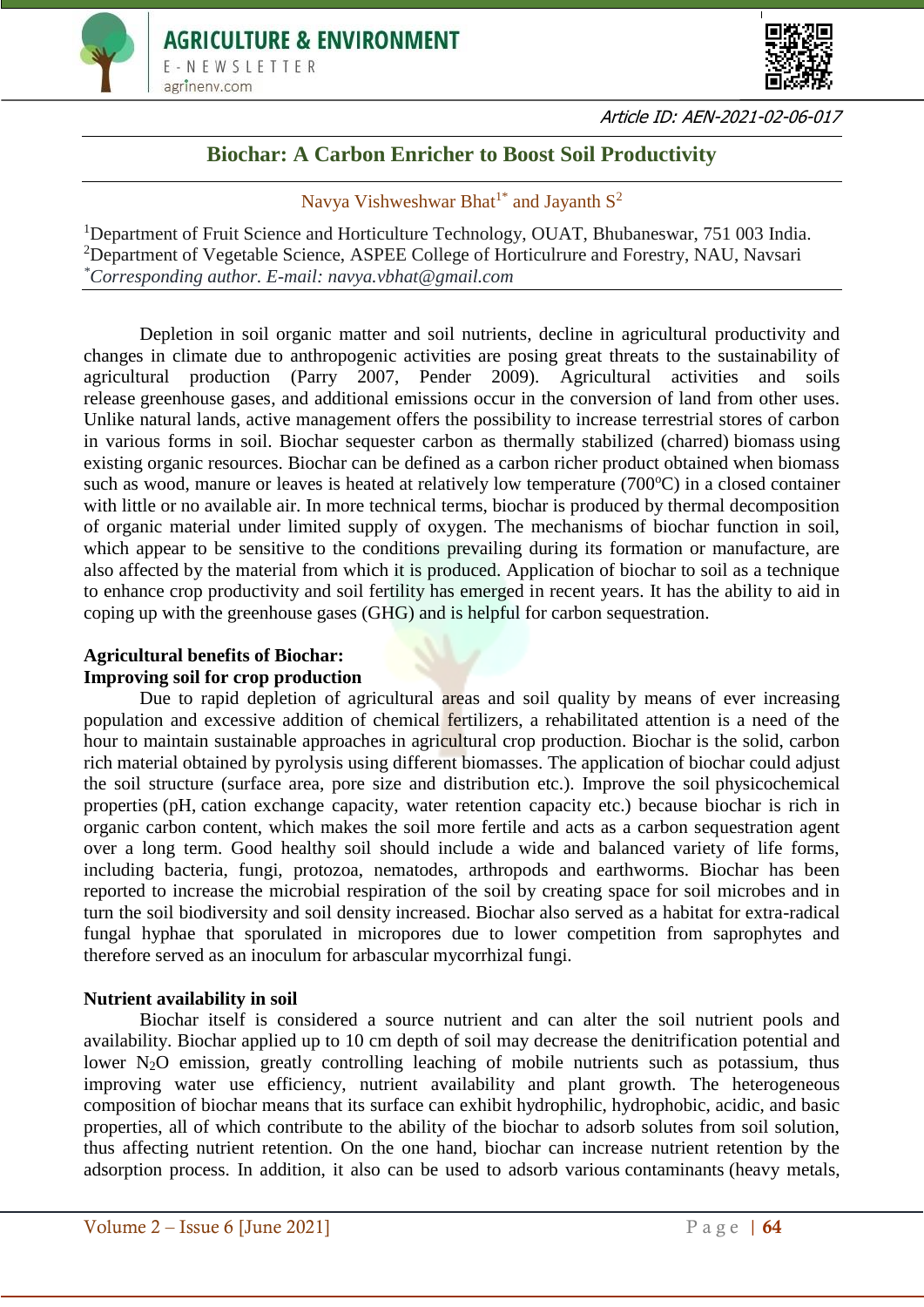



Article ID: AEN-2021-02-06-017

# **Biochar: A Carbon Enricher to Boost Soil Productivity**

Navya Vishweshwar Bhat<sup>1\*</sup> and Jayanth  $S^2$ 

<sup>1</sup>Department of Fruit Science and Horticulture Technology, OUAT, Bhubaneswar, 751 003 India. <sup>2</sup>Department of Vegetable Science, ASPEE College of Horticulrure and Forestry, NAU, Navsari *\*Corresponding author. E-mail: navya.vbhat@gmail.com*

Depletion in soil organic matter and soil nutrients, decline in agricultural productivity and changes in climate due to anthropogenic activities are posing great threats to the sustainability of agricultural production (Parry 2007, Pender 2009). Agricultural activities and soils release [greenhouse gases,](https://www.sciencedirect.com/topics/agricultural-and-biological-sciences/greenhouse-gases) and additional emissions occur in the conversion of land from other uses. Unlike natural lands, active management offers the possibility to increase terrestrial stores of carbon in various forms in soil. Biochar sequester carbon as thermally stabilized (charred) [biomass](https://www.sciencedirect.com/topics/agricultural-and-biological-sciences/biomass) using existing organic resources. Biochar can be defined as a carbon richer product obtained when biomass such as wood, manure or leaves is heated at relatively low temperature ( $700^{\circ}$ C) in a closed container with little or no available air. In more technical terms, biochar is produced by thermal decomposition of organic material under limited supply of oxygen. The mechanisms of biochar function in soil, which appear to be sensitive to the conditions prevailing during its formation or manufacture, are also affected by the material from which it is produced. Application of biochar to soil as a technique to enhance crop productivity and soil fertility has emerged in recent years. It has the ability to aid in coping up with the greenhouse gases (GHG) and is helpful for carbon sequestration.

#### **Agricultural benefits of Biochar: Improving soil for crop production**

Due to rapid depletion of agricultural areas and soil quality by means of ever increasing population and excessive addition of chemical fertilizers, a rehabilitated attention is a need of the hour to maintain sustainable approaches in agricultural crop production. Biochar is the solid, carbon rich material obtained by pyrolysis using different biomasses. The application of biochar could adjust the soil structure (surface area, pore size and distribution etc.). Improve the soil [physicochemical](https://www.sciencedirect.com/topics/earth-and-planetary-sciences/physicochemical-property)  [properties](https://www.sciencedirect.com/topics/earth-and-planetary-sciences/physicochemical-property) (pH, [cation exchange capacity,](https://www.sciencedirect.com/topics/earth-and-planetary-sciences/cation-exchange-capacity) water retention capacity etc.) because biochar is rich in organic carbon content, which makes the soil more fertile and acts as a carbon sequestration agent over a long term. Good healthy soil should include a wide and balanced variety of life forms, including bacteria, fungi, protozoa, nematodes, arthropods and earthworms. Biochar has been reported to increase the microbial respiration of the soil by creating space for soil microbes and in turn the soil biodiversity and soil density increased. Biochar also served as a habitat for extra-radical fungal hyphae that sporulated in micropores due to lower competition from saprophytes and therefore served as an inoculum for arbascular mycorrhizal fungi.

# **Nutrient availability in soil**

Biochar itself is considered a source nutrient and can alter the soil nutrient pools and availability. Biochar applied up to 10 cm depth of soil may decrease the denitrification potential and lower  $N_2O$  emission, greatly controlling leaching of mobile nutrients such as potassium, thus improving water use efficiency, nutrient availability and plant growth. The heterogeneous composition of biochar means that its surface can exhibit hydrophilic, hydrophobic, acidic, and basic properties, all of which contribute to the ability of the biochar to adsorb solutes from soil solution, thus affecting nutrient retention. On the one hand, biochar can increase nutrient retention by the adsorption process. In addition, it also can be used to adsorb various [contaminants](https://www.sciencedirect.com/topics/earth-and-planetary-sciences/contaminant) (heavy metals,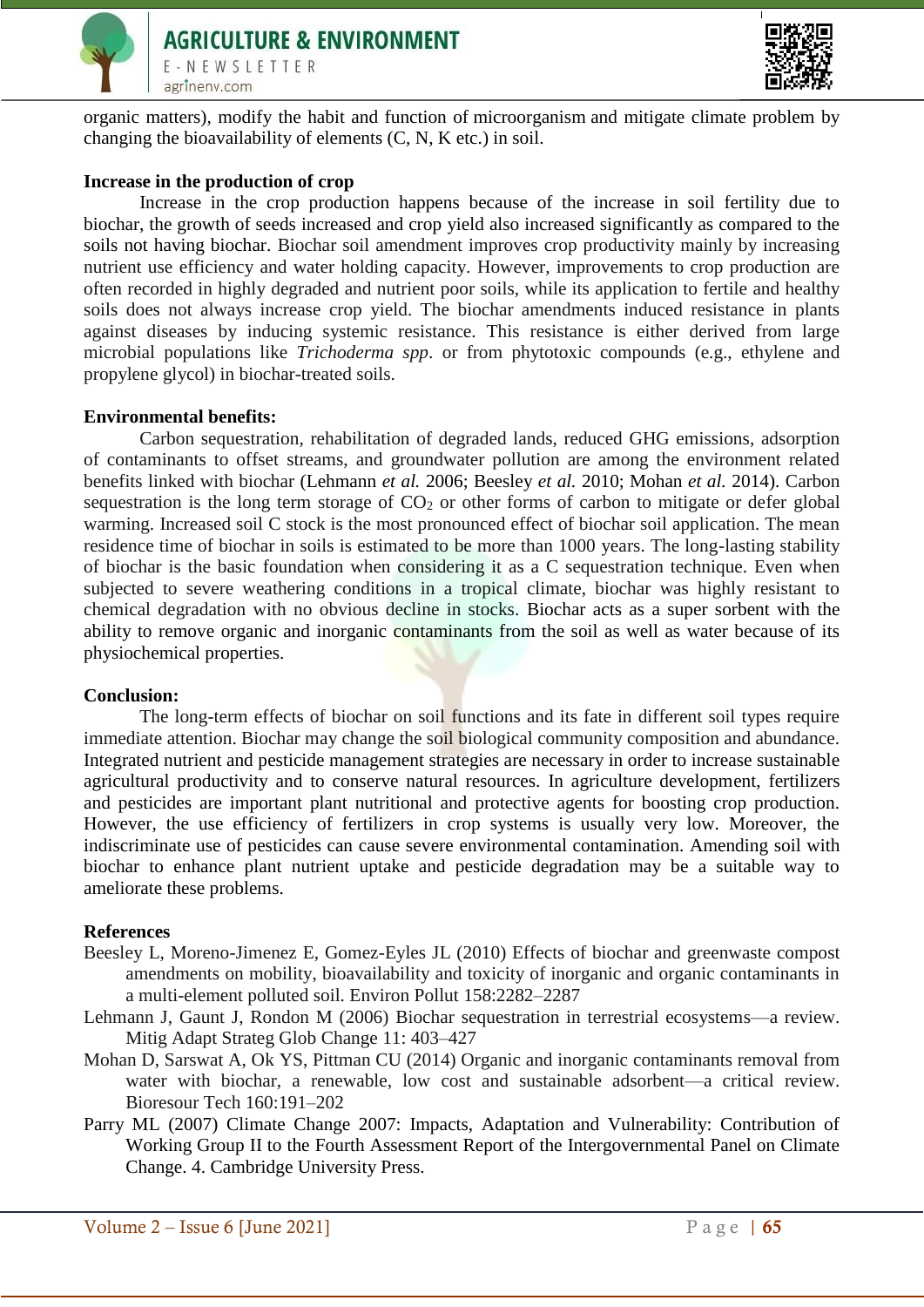



organic matters), modify the habit and function of [microorganism](https://www.sciencedirect.com/topics/earth-and-planetary-sciences/micro-organism) and mitigate climate problem by changing the [bioavailability](https://www.sciencedirect.com/topics/earth-and-planetary-sciences/bio-availability) of elements (C, N, K etc.) in soil.

# **Increase in the production of crop**

Increase in the crop production happens because of the increase in soil fertility due to biochar, the growth of seeds increased and crop yield also increased significantly as compared to the soils not having biochar. Biochar soil amendment improves crop productivity mainly by increasing nutrient use efficiency and water holding capacity. However, improvements to crop production are often recorded in highly degraded and nutrient poor soils, while its application to fertile and healthy soils does not always increase crop yield. The biochar amendments induced resistance in plants against diseases by inducing systemic resistance. This resistance is either derived from large microbial populations like *Trichoderma spp*. or from phytotoxic compounds (e.g., ethylene and propylene glycol) in biochar-treated soils.

# **Environmental benefits:**

Carbon sequestration, rehabilitation of degraded lands, reduced GHG emissions, adsorption of contaminants to offset streams, and groundwater pollution are among the environment related benefits linked with biochar (Lehmann *et al.* 2006; Beesley *et al.* 2010; Mohan *et al.* 2014). Carbon sequestration is the long term storage of  $CO<sub>2</sub>$  or other forms of carbon to mitigate or defer global warming. Increased soil C stock is the most pronounced effect of biochar soil application. The mean residence time of biochar in soils is estimated to be more than 1000 years. The long-lasting stability of biochar is the basic foundation when considering it as a C sequestration technique. Even when subjected to severe weathering conditions in a tropical climate, biochar was highly resistant to chemical degradation with no obvious decline in stocks. Biochar acts as a super sorbent with the ability to remove organic and inorganic contaminants from the soil as well as water because of its physiochemical properties.

### **Conclusion:**

The long-term effects of biochar on soil functions and its fate in different soil types require immediate attention. Biochar may change the soil biological community composition and abundance. Integrated nutrient and pesticide management strategies are necessary in order to increase sustainable agricultural productivity and to conserve natural resources. In agriculture development, fertilizers and pesticides are important plant nutritional and protective agents for boosting crop production. However, the use efficiency of fertilizers in crop systems is usually very low. Moreover, the indiscriminate use of pesticides can cause severe environmental contamination. Amending soil with biochar to enhance plant nutrient uptake and pesticide degradation may be a suitable way to ameliorate these problems.

### **References**

- Beesley L, Moreno-Jimenez E, Gomez-Eyles JL (2010) Effects of biochar and greenwaste compost amendments on mobility, bioavailability and toxicity of inorganic and organic contaminants in a multi-element polluted soil. Environ Pollut 158:2282–2287
- Lehmann J, Gaunt J, Rondon M (2006) Biochar sequestration in terrestrial ecosystems—a review. Mitig Adapt Strateg Glob Change 11: 403–427
- Mohan D, Sarswat A, Ok YS, Pittman CU (2014) Organic and inorganic contaminants removal from water with biochar, a renewable, low cost and sustainable adsorbent—a critical review. Bioresour Tech 160:191–202
- Parry ML (2007) Climate Change 2007: Impacts, Adaptation and Vulnerability: Contribution of Working Group II to the Fourth Assessment Report of the Intergovernmental Panel on Climate Change. 4. Cambridge University Press.